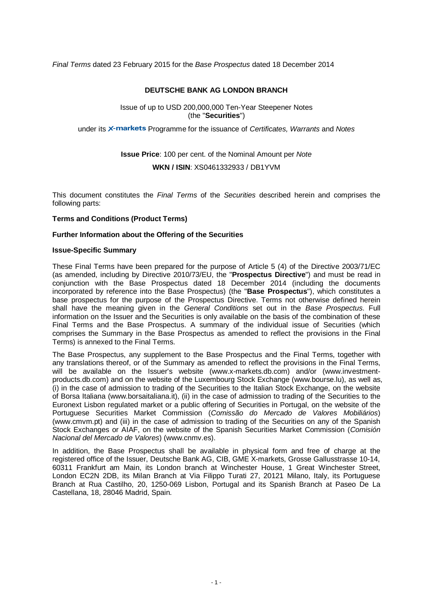*Final Terms* dated 23 February 2015 for the *Base Prospectus* dated 18 December 2014

### **DEUTSCHE BANK AG LONDON BRANCH**

Issue of up to USD 200,000,000 Ten-Year Steepener Notes (the "**Securities**")

under its X-markets Programme for the issuance of *Certificates, Warrants* and *Notes* 

# **Issue Price**: 100 per cent. of the Nominal Amount per *Note*  **WKN / ISIN**: XS0461332933 / DB1YVM

This document constitutes the *Final Terms* of the *Securities* described herein and comprises the following parts:

### **Terms and Conditions (Product Terms)**

### **Further Information about the Offering of the Securities**

#### **Issue-Specific Summary**

These Final Terms have been prepared for the purpose of Article 5 (4) of the Directive 2003/71/EC (as amended, including by Directive 2010/73/EU, the "**Prospectus Directive**") and must be read in conjunction with the Base Prospectus dated 18 December 2014 (including the documents incorporated by reference into the Base Prospectus) (the "**Base Prospectus**"), which constitutes a base prospectus for the purpose of the Prospectus Directive. Terms not otherwise defined herein shall have the meaning given in the *General Conditions* set out in the *Base Prospectus*. Full information on the Issuer and the Securities is only available on the basis of the combination of these Final Terms and the Base Prospectus. A summary of the individual issue of Securities (which comprises the Summary in the Base Prospectus as amended to reflect the provisions in the Final Terms) is annexed to the Final Terms.

The Base Prospectus, any supplement to the Base Prospectus and the Final Terms, together with any translations thereof, or of the Summary as amended to reflect the provisions in the Final Terms, will be available on the Issuer's website (www.x-markets.db.com) and/or (www.investmentproducts.db.com) and on the website of the Luxembourg Stock Exchange (www.bourse.lu), as well as, (i) in the case of admission to trading of the Securities to the Italian Stock Exchange, on the website of Borsa Italiana (www.borsaitaliana.it), (ii) in the case of admission to trading of the Securities to the Euronext Lisbon regulated market or a public offering of Securities in Portugal, on the website of the Portuguese Securities Market Commission (*Comissão do Mercado de Valores Mobiliários*) (www.cmvm.pt) and (iii) in the case of admission to trading of the Securities on any of the Spanish Stock Exchanges or AIAF, on the website of the Spanish Securities Market Commission (*Comisión Nacional del Mercado de Valores*) (www.cnmv.es).

In addition, the Base Prospectus shall be available in physical form and free of charge at the registered office of the Issuer, Deutsche Bank AG, CIB, GME X-markets, Grosse Gallusstrasse 10-14, 60311 Frankfurt am Main, its London branch at Winchester House, 1 Great Winchester Street, London EC2N 2DB, its Milan Branch at Via Filippo Turati 27, 20121 Milano, Italy, its Portuguese Branch at Rua Castilho, 20, 1250-069 Lisbon, Portugal and its Spanish Branch at Paseo De La Castellana, 18, 28046 Madrid, Spain*.*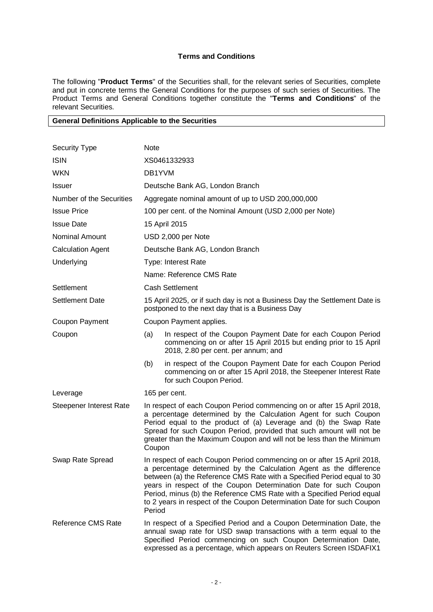## **Terms and Conditions**

The following "**Product Terms**" of the Securities shall, for the relevant series of Securities, complete and put in concrete terms the General Conditions for the purposes of such series of Securities. The Product Terms and General Conditions together constitute the "**Terms and Conditions**" of the relevant Securities.

### **General Definitions Applicable to the Securities**

| <b>Security Type</b>           | Note                                                                                                                                                                                                                                                                                                                                                                                                                                                      |                                                                                                                                                                                                                                                                                       |  |  |
|--------------------------------|-----------------------------------------------------------------------------------------------------------------------------------------------------------------------------------------------------------------------------------------------------------------------------------------------------------------------------------------------------------------------------------------------------------------------------------------------------------|---------------------------------------------------------------------------------------------------------------------------------------------------------------------------------------------------------------------------------------------------------------------------------------|--|--|
| <b>ISIN</b>                    | XS0461332933                                                                                                                                                                                                                                                                                                                                                                                                                                              |                                                                                                                                                                                                                                                                                       |  |  |
| <b>WKN</b>                     | DB1YVM                                                                                                                                                                                                                                                                                                                                                                                                                                                    |                                                                                                                                                                                                                                                                                       |  |  |
| <b>Issuer</b>                  | Deutsche Bank AG, London Branch                                                                                                                                                                                                                                                                                                                                                                                                                           |                                                                                                                                                                                                                                                                                       |  |  |
| Number of the Securities       |                                                                                                                                                                                                                                                                                                                                                                                                                                                           | Aggregate nominal amount of up to USD 200,000,000                                                                                                                                                                                                                                     |  |  |
| <b>Issue Price</b>             |                                                                                                                                                                                                                                                                                                                                                                                                                                                           | 100 per cent. of the Nominal Amount (USD 2,000 per Note)                                                                                                                                                                                                                              |  |  |
| <b>Issue Date</b>              |                                                                                                                                                                                                                                                                                                                                                                                                                                                           | 15 April 2015                                                                                                                                                                                                                                                                         |  |  |
| Nominal Amount                 |                                                                                                                                                                                                                                                                                                                                                                                                                                                           | USD 2,000 per Note                                                                                                                                                                                                                                                                    |  |  |
| <b>Calculation Agent</b>       |                                                                                                                                                                                                                                                                                                                                                                                                                                                           | Deutsche Bank AG, London Branch                                                                                                                                                                                                                                                       |  |  |
| Underlying                     |                                                                                                                                                                                                                                                                                                                                                                                                                                                           | Type: Interest Rate                                                                                                                                                                                                                                                                   |  |  |
|                                |                                                                                                                                                                                                                                                                                                                                                                                                                                                           | Name: Reference CMS Rate                                                                                                                                                                                                                                                              |  |  |
| Settlement                     |                                                                                                                                                                                                                                                                                                                                                                                                                                                           | <b>Cash Settlement</b>                                                                                                                                                                                                                                                                |  |  |
| <b>Settlement Date</b>         | 15 April 2025, or if such day is not a Business Day the Settlement Date is<br>postponed to the next day that is a Business Day                                                                                                                                                                                                                                                                                                                            |                                                                                                                                                                                                                                                                                       |  |  |
| Coupon Payment                 |                                                                                                                                                                                                                                                                                                                                                                                                                                                           | Coupon Payment applies.                                                                                                                                                                                                                                                               |  |  |
| Coupon                         | (a)                                                                                                                                                                                                                                                                                                                                                                                                                                                       | In respect of the Coupon Payment Date for each Coupon Period<br>commencing on or after 15 April 2015 but ending prior to 15 April<br>2018, 2.80 per cent. per annum; and                                                                                                              |  |  |
|                                | (b)                                                                                                                                                                                                                                                                                                                                                                                                                                                       | in respect of the Coupon Payment Date for each Coupon Period<br>commencing on or after 15 April 2018, the Steepener Interest Rate<br>for such Coupon Period.                                                                                                                          |  |  |
| Leverage                       |                                                                                                                                                                                                                                                                                                                                                                                                                                                           | 165 per cent.                                                                                                                                                                                                                                                                         |  |  |
| <b>Steepener Interest Rate</b> | In respect of each Coupon Period commencing on or after 15 April 2018,<br>a percentage determined by the Calculation Agent for such Coupon<br>Period equal to the product of (a) Leverage and (b) the Swap Rate<br>Spread for such Coupon Period, provided that such amount will not be<br>greater than the Maximum Coupon and will not be less than the Minimum<br>Coupon                                                                                |                                                                                                                                                                                                                                                                                       |  |  |
| Swap Rate Spread               | In respect of each Coupon Period commencing on or after 15 April 2018,<br>a percentage determined by the Calculation Agent as the difference<br>between (a) the Reference CMS Rate with a Specified Period equal to 30<br>years in respect of the Coupon Determination Date for such Coupon<br>Period, minus (b) the Reference CMS Rate with a Specified Period equal<br>to 2 years in respect of the Coupon Determination Date for such Coupon<br>Period |                                                                                                                                                                                                                                                                                       |  |  |
| Reference CMS Rate             |                                                                                                                                                                                                                                                                                                                                                                                                                                                           | In respect of a Specified Period and a Coupon Determination Date, the<br>annual swap rate for USD swap transactions with a term equal to the<br>Specified Period commencing on such Coupon Determination Date,<br>expressed as a percentage, which appears on Reuters Screen ISDAFIX1 |  |  |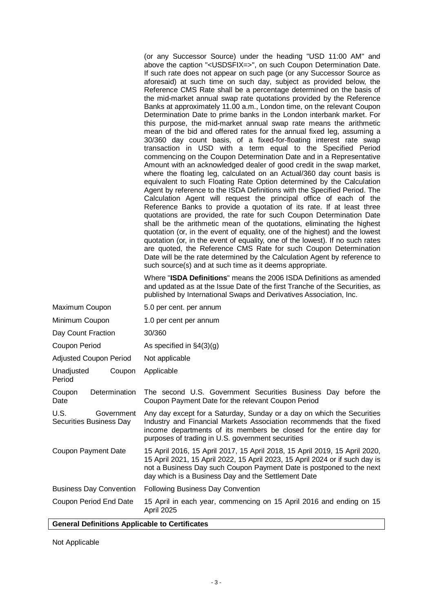(or any Successor Source) under the heading "USD 11:00 AM" and above the caption "<USDSFIX=>", on such Coupon Determination Date. If such rate does not appear on such page (or any Successor Source as aforesaid) at such time on such day, subject as provided below, the Reference CMS Rate shall be a percentage determined on the basis of the mid-market annual swap rate quotations provided by the Reference Banks at approximately 11.00 a.m., London time, on the relevant Coupon Determination Date to prime banks in the London interbank market. For this purpose, the mid-market annual swap rate means the arithmetic mean of the bid and offered rates for the annual fixed leg, assuming a 30/360 day count basis, of a fixed-for-floating interest rate swap transaction in USD with a term equal to the Specified Period commencing on the Coupon Determination Date and in a Representative Amount with an acknowledged dealer of good credit in the swap market, where the floating leg, calculated on an Actual/360 day count basis is equivalent to such Floating Rate Option determined by the Calculation Agent by reference to the ISDA Definitions with the Specified Period. The Calculation Agent will request the principal office of each of the Reference Banks to provide a quotation of its rate. If at least three quotations are provided, the rate for such Coupon Determination Date shall be the arithmetic mean of the quotations, eliminating the highest quotation (or, in the event of equality, one of the highest) and the lowest quotation (or, in the event of equality, one of the lowest). If no such rates are quoted, the Reference CMS Rate for such Coupon Determination Date will be the rate determined by the Calculation Agent by reference to such source(s) and at such time as it deems appropriate.

Where "**ISDA Definitions**" means the 2006 ISDA Definitions as amended and updated as at the Issue Date of the first Tranche of the Securities, as published by International Swaps and Derivatives Association, Inc.

| Maximum Coupon                                | 5.0 per cent. per annum                                                                                                                                                                                                                                                                   |  |  |
|-----------------------------------------------|-------------------------------------------------------------------------------------------------------------------------------------------------------------------------------------------------------------------------------------------------------------------------------------------|--|--|
| Minimum Coupon                                | 1.0 per cent per annum                                                                                                                                                                                                                                                                    |  |  |
| Day Count Fraction                            | 30/360                                                                                                                                                                                                                                                                                    |  |  |
| Coupon Period                                 | As specified in $\S4(3)(g)$                                                                                                                                                                                                                                                               |  |  |
| <b>Adjusted Coupon Period</b>                 | Not applicable                                                                                                                                                                                                                                                                            |  |  |
| Unadjusted<br>Coupon<br>Period                | Applicable                                                                                                                                                                                                                                                                                |  |  |
| Determination<br>Coupon<br>Date               | The second U.S. Government Securities Business Day before the<br>Coupon Payment Date for the relevant Coupon Period                                                                                                                                                                       |  |  |
| U.S.<br>Government<br>Securities Business Day | Any day except for a Saturday, Sunday or a day on which the Securities<br>Industry and Financial Markets Association recommends that the fixed<br>income departments of its members be closed for the entire day for<br>purposes of trading in U.S. government securities                 |  |  |
| <b>Coupon Payment Date</b>                    | 15 April 2016, 15 April 2017, 15 April 2018, 15 April 2019, 15 April 2020,<br>15 April 2021, 15 April 2022, 15 April 2023, 15 April 2024 or if such day is<br>not a Business Day such Coupon Payment Date is postponed to the next<br>day which is a Business Day and the Settlement Date |  |  |
| <b>Business Day Convention</b>                | Following Business Day Convention                                                                                                                                                                                                                                                         |  |  |
| Coupon Period End Date                        | 15 April in each year, commencing on 15 April 2016 and ending on 15<br>April 2025                                                                                                                                                                                                         |  |  |

### **General Definitions Applicable to Certificates**

Not Applicable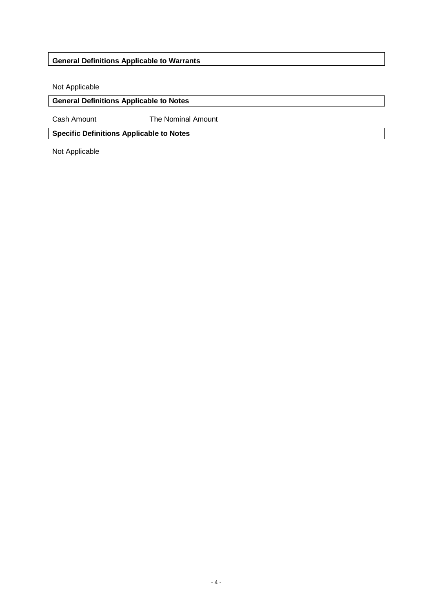# **General Definitions Applicable to Warrants**

Not Applicable

## **General Definitions Applicable to Notes**

Cash Amount The Nominal Amount

**Specific Definitions Applicable to Notes** 

Not Applicable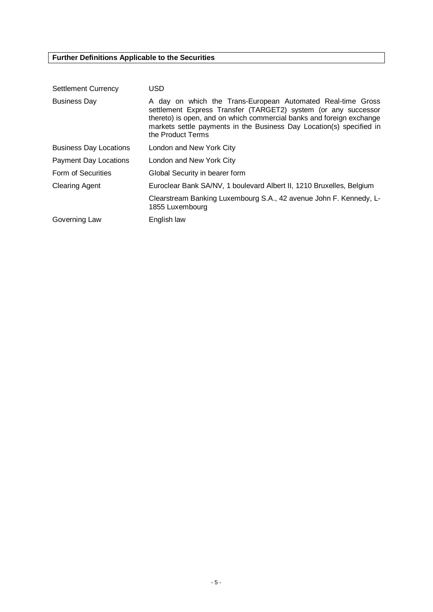# **Further Definitions Applicable to the Securities**

| <b>Settlement Currency</b>    | <b>USD</b>                                                                                                                                                                                                                                                                                         |
|-------------------------------|----------------------------------------------------------------------------------------------------------------------------------------------------------------------------------------------------------------------------------------------------------------------------------------------------|
| <b>Business Day</b>           | A day on which the Trans-European Automated Real-time Gross<br>settlement Express Transfer (TARGET2) system (or any successor<br>thereto) is open, and on which commercial banks and foreign exchange<br>markets settle payments in the Business Day Location(s) specified in<br>the Product Terms |
| <b>Business Day Locations</b> | London and New York City                                                                                                                                                                                                                                                                           |
| Payment Day Locations         | London and New York City                                                                                                                                                                                                                                                                           |
| Form of Securities            | Global Security in bearer form                                                                                                                                                                                                                                                                     |
| <b>Clearing Agent</b>         | Euroclear Bank SA/NV, 1 boulevard Albert II, 1210 Bruxelles, Belgium                                                                                                                                                                                                                               |
|                               | Clearstream Banking Luxembourg S.A., 42 avenue John F. Kennedy, L-<br>1855 Luxembourg                                                                                                                                                                                                              |
| Governing Law                 | English law                                                                                                                                                                                                                                                                                        |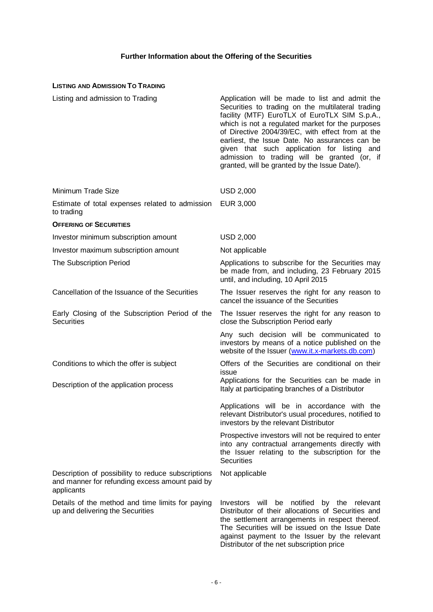# **Further Information about the Offering of the Securities**

## **LISTING AND ADMISSION TO TRADING**

| Listing and admission to Trading                                                                                   | Application will be made to list and admit the<br>Securities to trading on the multilateral trading<br>facility (MTF) EuroTLX of EuroTLX SIM S.p.A.,<br>which is not a regulated market for the purposes<br>of Directive 2004/39/EC, with effect from at the<br>earliest, the Issue Date. No assurances can be<br>given that such application for listing and<br>admission to trading will be granted (or, if<br>granted, will be granted by the Issue Date/). |
|--------------------------------------------------------------------------------------------------------------------|----------------------------------------------------------------------------------------------------------------------------------------------------------------------------------------------------------------------------------------------------------------------------------------------------------------------------------------------------------------------------------------------------------------------------------------------------------------|
| Minimum Trade Size                                                                                                 | <b>USD 2,000</b>                                                                                                                                                                                                                                                                                                                                                                                                                                               |
| Estimate of total expenses related to admission<br>to trading                                                      | EUR 3,000                                                                                                                                                                                                                                                                                                                                                                                                                                                      |
| <b>OFFERING OF SECURITIES</b>                                                                                      |                                                                                                                                                                                                                                                                                                                                                                                                                                                                |
| Investor minimum subscription amount                                                                               | <b>USD 2,000</b>                                                                                                                                                                                                                                                                                                                                                                                                                                               |
| Investor maximum subscription amount                                                                               | Not applicable                                                                                                                                                                                                                                                                                                                                                                                                                                                 |
| The Subscription Period                                                                                            | Applications to subscribe for the Securities may<br>be made from, and including, 23 February 2015<br>until, and including, 10 April 2015                                                                                                                                                                                                                                                                                                                       |
| Cancellation of the Issuance of the Securities                                                                     | The Issuer reserves the right for any reason to<br>cancel the issuance of the Securities                                                                                                                                                                                                                                                                                                                                                                       |
| Early Closing of the Subscription Period of the<br><b>Securities</b>                                               | The Issuer reserves the right for any reason to<br>close the Subscription Period early                                                                                                                                                                                                                                                                                                                                                                         |
|                                                                                                                    | Any such decision will be communicated to<br>investors by means of a notice published on the<br>website of the Issuer (www.it.x-markets.db.com)                                                                                                                                                                                                                                                                                                                |
| Conditions to which the offer is subject                                                                           | Offers of the Securities are conditional on their<br>issue                                                                                                                                                                                                                                                                                                                                                                                                     |
| Description of the application process                                                                             | Applications for the Securities can be made in<br>Italy at participating branches of a Distributor                                                                                                                                                                                                                                                                                                                                                             |
|                                                                                                                    | Applications will be in accordance with the<br>relevant Distributor's usual procedures, notified to<br>investors by the relevant Distributor                                                                                                                                                                                                                                                                                                                   |
|                                                                                                                    | Prospective investors will not be required to enter<br>into any contractual arrangements directly with<br>the Issuer relating to the subscription for the<br><b>Securities</b>                                                                                                                                                                                                                                                                                 |
| Description of possibility to reduce subscriptions<br>and manner for refunding excess amount paid by<br>applicants | Not applicable                                                                                                                                                                                                                                                                                                                                                                                                                                                 |
| Details of the method and time limits for paying<br>up and delivering the Securities                               | will be notified<br>Investors<br>by the relevant<br>Distributor of their allocations of Securities and<br>the settlement arrangements in respect thereof.<br>The Securities will be issued on the Issue Date<br>against payment to the Issuer by the relevant<br>Distributor of the net subscription price                                                                                                                                                     |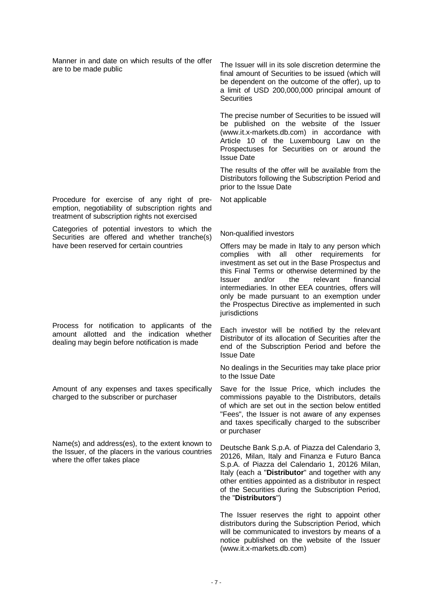Manner in and date on which results of the offer Frame in and date on which results of the oner The Issuer will in its sole discretion determine the are to be made public

Procedure for exercise of any right of preemption, negotiability of subscription rights and treatment of subscription rights not exercised

Categories of potential investors to which the Securities are offered and whether tranche(s) have been reserved for certain countries

Process for notification to applicants of the amount allotted and the indication whether dealing may begin before notification is made

Amount of any expenses and taxes specifically charged to the subscriber or purchaser

Name(s) and address(es), to the extent known to the Issuer, of the placers in the various countries where the offer takes place

final amount of Securities to be issued (which will be dependent on the outcome of the offer), up to a limit of USD 200,000,000 principal amount of **Securities** 

The precise number of Securities to be issued will be published on the website of the Issuer (www.it.x-markets.db.com) in accordance with Article 10 of the Luxembourg Law on the Prospectuses for Securities on or around the Issue Date

The results of the offer will be available from the Distributors following the Subscription Period and prior to the Issue Date

Not applicable

### Non-qualified investors

Offers may be made in Italy to any person which complies with all other requirements for investment as set out in the Base Prospectus and this Final Terms or otherwise determined by the Issuer and/or the relevant financial intermediaries. In other EEA countries, offers will only be made pursuant to an exemption under the Prospectus Directive as implemented in such jurisdictions

Each investor will be notified by the relevant Distributor of its allocation of Securities after the end of the Subscription Period and before the Issue Date

No dealings in the Securities may take place prior to the Issue Date

Save for the Issue Price, which includes the commissions payable to the Distributors, details of which are set out in the section below entitled "Fees", the Issuer is not aware of any expenses and taxes specifically charged to the subscriber or purchaser

Deutsche Bank S.p.A. of Piazza del Calendario 3, 20126, Milan, Italy and Finanza e Futuro Banca S.p.A. of Piazza del Calendario 1, 20126 Milan, Italy (each a "**Distributor**" and together with any other entities appointed as a distributor in respect of the Securities during the Subscription Period, the "**Distributors**")

The Issuer reserves the right to appoint other distributors during the Subscription Period, which will be communicated to investors by means of a notice published on the website of the Issuer (www.it.x-markets.db.com)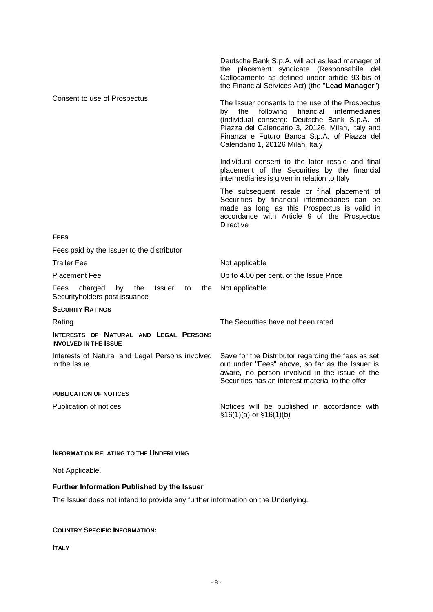|                                                                                             | Deutsche Bank S.p.A. will act as lead manager of<br>the placement syndicate (Responsabile del<br>Collocamento as defined under article 93-bis of<br>the Financial Services Act) (the "Lead Manager")                                                                                              |
|---------------------------------------------------------------------------------------------|---------------------------------------------------------------------------------------------------------------------------------------------------------------------------------------------------------------------------------------------------------------------------------------------------|
| Consent to use of Prospectus                                                                | The Issuer consents to the use of the Prospectus<br>following<br>financial<br>intermediaries<br>the<br>by<br>(individual consent): Deutsche Bank S.p.A. of<br>Piazza del Calendario 3, 20126, Milan, Italy and<br>Finanza e Futuro Banca S.p.A. of Piazza del<br>Calendario 1, 20126 Milan, Italy |
|                                                                                             | Individual consent to the later resale and final<br>placement of the Securities by the financial<br>intermediaries is given in relation to Italy                                                                                                                                                  |
|                                                                                             | The subsequent resale or final placement of<br>Securities by financial intermediaries can be<br>made as long as this Prospectus is valid in<br>accordance with Article 9 of the Prospectus<br><b>Directive</b>                                                                                    |
| <b>FEES</b>                                                                                 |                                                                                                                                                                                                                                                                                                   |
| Fees paid by the Issuer to the distributor                                                  |                                                                                                                                                                                                                                                                                                   |
| <b>Trailer Fee</b>                                                                          | Not applicable                                                                                                                                                                                                                                                                                    |
| <b>Placement Fee</b>                                                                        | Up to 4.00 per cent. of the Issue Price                                                                                                                                                                                                                                                           |
| charged<br>by<br>Fees<br>the<br><b>Issuer</b><br>to<br>the<br>Securityholders post issuance | Not applicable                                                                                                                                                                                                                                                                                    |
| <b>SECURITY RATINGS</b>                                                                     |                                                                                                                                                                                                                                                                                                   |
| Rating                                                                                      | The Securities have not been rated                                                                                                                                                                                                                                                                |
| INTERESTS OF NATURAL AND LEGAL PERSONS<br><b>INVOLVED IN THE ISSUE</b>                      |                                                                                                                                                                                                                                                                                                   |
| Interests of Natural and Legal Persons involved<br>in the Issue                             | Save for the Distributor regarding the fees as set<br>out under "Fees" above, so far as the Issuer is<br>aware, no person involved in the issue of the<br>Securities has an interest material to the offer                                                                                        |
| <b>PUBLICATION OF NOTICES</b>                                                               |                                                                                                                                                                                                                                                                                                   |
| Publication of notices                                                                      | Notices will be published in accordance with<br>$$16(1)(a)$ or $$16(1)(b)$                                                                                                                                                                                                                        |

### **INFORMATION RELATING TO THE UNDERLYING**

Not Applicable.

## **Further Information Published by the Issuer**

The Issuer does not intend to provide any further information on the Underlying.

## **COUNTRY SPECIFIC INFORMATION:**

**ITALY**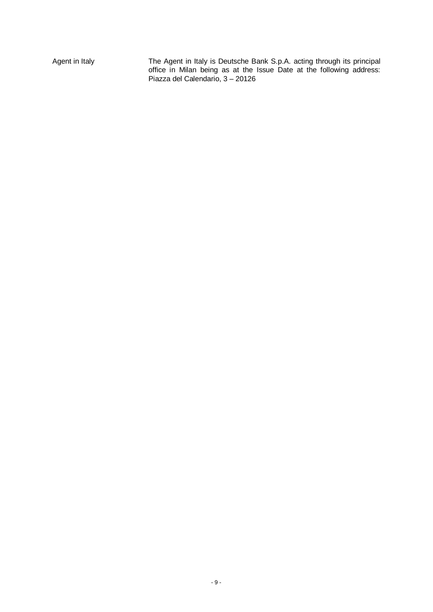Agent in Italy The Agent in Italy is Deutsche Bank S.p.A. acting through its principal office in Milan being as at the Issue Date at the following address: Piazza del Calendario, 3 – 20126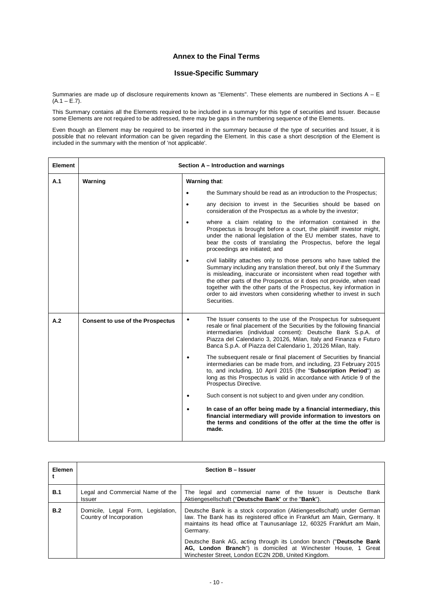### **Annex to the Final Terms**

### **Issue-Specific Summary**

Summaries are made up of disclosure requirements known as "Elements". These elements are numbered in Sections  $A - E$  $(A.1 - E.7)$ .

This Summary contains all the Elements required to be included in a summary for this type of securities and Issuer. Because some Elements are not required to be addressed, there may be gaps in the numbering sequence of the Elements.

Even though an Element may be required to be inserted in the summary because of the type of securities and Issuer, it is possible that no relevant information can be given regarding the Element. In this case a short description of the Element is included in the summary with the mention of 'not applicable'.

| <b>Element</b> | Section A - Introduction and warnings   |               |                                                                                                                                                                                                                                                                                                                                                                                                                                                 |
|----------------|-----------------------------------------|---------------|-------------------------------------------------------------------------------------------------------------------------------------------------------------------------------------------------------------------------------------------------------------------------------------------------------------------------------------------------------------------------------------------------------------------------------------------------|
| A.1            | Warning                                 | Warning that: |                                                                                                                                                                                                                                                                                                                                                                                                                                                 |
|                |                                         | $\bullet$     | the Summary should be read as an introduction to the Prospectus;                                                                                                                                                                                                                                                                                                                                                                                |
|                |                                         |               | any decision to invest in the Securities should be based on<br>consideration of the Prospectus as a whole by the investor;                                                                                                                                                                                                                                                                                                                      |
|                |                                         |               | where a claim relating to the information contained in the<br>Prospectus is brought before a court, the plaintiff investor might,<br>under the national legislation of the EU member states, have to<br>bear the costs of translating the Prospectus, before the legal<br>proceedings are initiated; and                                                                                                                                        |
|                |                                         |               | civil liability attaches only to those persons who have tabled the<br>Summary including any translation thereof, but only if the Summary<br>is misleading, inaccurate or inconsistent when read together with<br>the other parts of the Prospectus or it does not provide, when read<br>together with the other parts of the Prospectus, key information in<br>order to aid investors when considering whether to invest in such<br>Securities. |
| A.2            | <b>Consent to use of the Prospectus</b> | $\bullet$     | The Issuer consents to the use of the Prospectus for subsequent<br>resale or final placement of the Securities by the following financial<br>intermediaries (individual consent): Deutsche Bank S.p.A. of<br>Piazza del Calendario 3, 20126, Milan, Italy and Finanza e Futuro<br>Banca S.p.A. of Piazza del Calendario 1, 20126 Milan, Italy.                                                                                                  |
|                |                                         |               | The subsequent resale or final placement of Securities by financial<br>intermediaries can be made from, and including, 23 February 2015<br>to, and including, 10 April 2015 (the "Subscription Period") as<br>long as this Prospectus is valid in accordance with Article 9 of the<br>Prospectus Directive.                                                                                                                                     |
|                |                                         |               | Such consent is not subject to and given under any condition.                                                                                                                                                                                                                                                                                                                                                                                   |
|                |                                         |               | In case of an offer being made by a financial intermediary, this<br>financial intermediary will provide information to investors on<br>the terms and conditions of the offer at the time the offer is<br>made.                                                                                                                                                                                                                                  |

| <b>Elemen</b> |                                                                | Section B - Issuer                                                                                                                                                                                                                                                                                                                                                                                                                      |
|---------------|----------------------------------------------------------------|-----------------------------------------------------------------------------------------------------------------------------------------------------------------------------------------------------------------------------------------------------------------------------------------------------------------------------------------------------------------------------------------------------------------------------------------|
| <b>B.1</b>    | Legal and Commercial Name of the<br><b>Issuer</b>              | The legal and commercial name of the Issuer is Deutsche Bank<br>Aktiengesellschaft ("Deutsche Bank" or the "Bank").                                                                                                                                                                                                                                                                                                                     |
| B.2           | Domicile, Legal Form, Legislation,<br>Country of Incorporation | Deutsche Bank is a stock corporation (Aktiengesellschaft) under German<br>law. The Bank has its registered office in Frankfurt am Main, Germany. It<br>maintains its head office at Taunusanlage 12, 60325 Frankfurt am Main,<br>Germany.<br>Deutsche Bank AG, acting through its London branch ("Deutsche Bank<br>AG, London Branch") is domiciled at Winchester House, 1 Great<br>Winchester Street, London EC2N 2DB, United Kingdom. |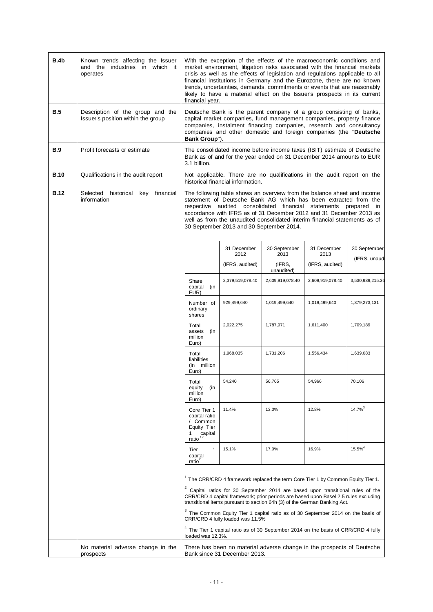| B.4b        | Known trends affecting the Issuer<br>and the industries in which it<br>operates | With the exception of the effects of the macroeconomic conditions and<br>market environment, litigation risks associated with the financial markets<br>crisis as well as the effects of legislation and regulations applicable to all<br>financial institutions in Germany and the Eurozone, there are no known<br>trends, uncertainties, demands, commitments or events that are reasonably<br>likely to have a material effect on the Issuer's prospects in its current<br>financial year. |                                          |                                                                                                                                                                                                                                                                                                                                                                     |                                        |                              |
|-------------|---------------------------------------------------------------------------------|----------------------------------------------------------------------------------------------------------------------------------------------------------------------------------------------------------------------------------------------------------------------------------------------------------------------------------------------------------------------------------------------------------------------------------------------------------------------------------------------|------------------------------------------|---------------------------------------------------------------------------------------------------------------------------------------------------------------------------------------------------------------------------------------------------------------------------------------------------------------------------------------------------------------------|----------------------------------------|------------------------------|
| <b>B.5</b>  | Description of the group and the<br>Issuer's position within the group          | Deutsche Bank is the parent company of a group consisting of banks,<br>capital market companies, fund management companies, property finance<br>companies, instalment financing companies, research and consultancy<br>companies and other domestic and foreign companies (the "Deutsche<br>Bank Group").                                                                                                                                                                                    |                                          |                                                                                                                                                                                                                                                                                                                                                                     |                                        |                              |
| B.9         | Profit forecasts or estimate                                                    | The consolidated income before income taxes (IBIT) estimate of Deutsche<br>Bank as of and for the year ended on 31 December 2014 amounts to EUR<br>3.1 billion.                                                                                                                                                                                                                                                                                                                              |                                          |                                                                                                                                                                                                                                                                                                                                                                     |                                        |                              |
| <b>B.10</b> | Qualifications in the audit report                                              |                                                                                                                                                                                                                                                                                                                                                                                                                                                                                              | historical financial information.        | Not applicable. There are no qualifications in the audit report on the                                                                                                                                                                                                                                                                                              |                                        |                              |
| <b>B.12</b> | Selected historical<br>key financial<br>information                             |                                                                                                                                                                                                                                                                                                                                                                                                                                                                                              | 30 September 2013 and 30 September 2014. | The following table shows an overview from the balance sheet and income<br>statement of Deutsche Bank AG which has been extracted from the<br>respective audited consolidated financial statements prepared in<br>accordance with IFRS as of 31 December 2012 and 31 December 2013 as<br>well as from the unaudited consolidated interim financial statements as of |                                        |                              |
|             |                                                                                 |                                                                                                                                                                                                                                                                                                                                                                                                                                                                                              | 31 December<br>2012<br>(IFRS, audited)   | 30 September<br>2013<br>(IFRS,                                                                                                                                                                                                                                                                                                                                      | 31 December<br>2013<br>(IFRS, audited) | 30 September<br>(IFRS, unaud |
|             |                                                                                 | Share<br>capital<br>(in<br>EUR)                                                                                                                                                                                                                                                                                                                                                                                                                                                              | 2,379,519,078.40                         | unaudited)<br>2,609,919,078.40                                                                                                                                                                                                                                                                                                                                      | 2,609,919,078.40                       | 3,530,939,215.36             |
|             |                                                                                 | Number of<br>ordinary<br>shares                                                                                                                                                                                                                                                                                                                                                                                                                                                              | 929,499,640                              | 1,019,499,640                                                                                                                                                                                                                                                                                                                                                       | 1,019,499,640                          | 1,379,273,131                |
|             |                                                                                 | Total<br>assets<br>(in<br>million<br>Euro)                                                                                                                                                                                                                                                                                                                                                                                                                                                   | 2,022,275                                | 1,787,971                                                                                                                                                                                                                                                                                                                                                           | 1,611,400                              | 1,709,189                    |
|             |                                                                                 | Total<br>liabilities<br>(in million<br>Euro)                                                                                                                                                                                                                                                                                                                                                                                                                                                 | 1,968,035                                | 1,731,206                                                                                                                                                                                                                                                                                                                                                           | 1,556,434                              | 1,639,083                    |
|             |                                                                                 | Total<br>equity<br>(in<br>million<br>Euro)                                                                                                                                                                                                                                                                                                                                                                                                                                                   | 54,240                                   | 56,765                                                                                                                                                                                                                                                                                                                                                              | 54,966                                 | 70,106                       |
|             |                                                                                 | Core Tier 1<br>capital ratio<br>/ Common<br>Equity Tier<br>rer<br>capital<br><u>ratio</u> <sup>12</sup>                                                                                                                                                                                                                                                                                                                                                                                      | 11.4%                                    | 13.0%                                                                                                                                                                                                                                                                                                                                                               | 12.8%                                  | $14.7\%$ <sup>3</sup>        |
|             |                                                                                 | Tier<br>1<br>capital<br>$ratio^2$                                                                                                                                                                                                                                                                                                                                                                                                                                                            | 15.1%                                    | 17.0%                                                                                                                                                                                                                                                                                                                                                               | 16.9%                                  | $15.5\%^{4}$                 |
|             |                                                                                 |                                                                                                                                                                                                                                                                                                                                                                                                                                                                                              |                                          | <sup>1</sup> The CRR/CRD 4 framework replaced the term Core Tier 1 by Common Equity Tier 1.                                                                                                                                                                                                                                                                         |                                        |                              |
|             |                                                                                 |                                                                                                                                                                                                                                                                                                                                                                                                                                                                                              |                                          | $2$ Capital ratios for 30 September 2014 are based upon transitional rules of the<br>CRR/CRD 4 capital framework; prior periods are based upon Basel 2.5 rules excluding<br>transitional items pursuant to section 64h (3) of the German Banking Act.                                                                                                               |                                        |                              |
|             |                                                                                 |                                                                                                                                                                                                                                                                                                                                                                                                                                                                                              | CRR/CRD 4 fully loaded was 11.5%         | $3$ The Common Equity Tier 1 capital ratio as of 30 September 2014 on the basis of                                                                                                                                                                                                                                                                                  |                                        |                              |
|             |                                                                                 | loaded was 12.3%.                                                                                                                                                                                                                                                                                                                                                                                                                                                                            |                                          | $4$ The Tier 1 capital ratio as of 30 September 2014 on the basis of CRR/CRD 4 fully                                                                                                                                                                                                                                                                                |                                        |                              |
|             | No material adverse change in the<br>prospects                                  |                                                                                                                                                                                                                                                                                                                                                                                                                                                                                              | Bank since 31 December 2013.             | There has been no material adverse change in the prospects of Deutsche                                                                                                                                                                                                                                                                                              |                                        |                              |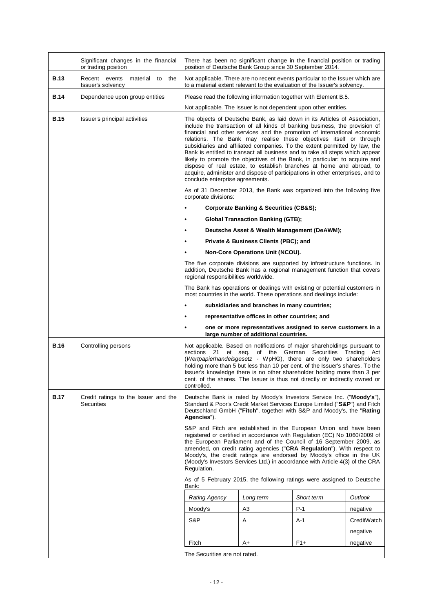|             | Significant changes in the financial<br>or trading position | There has been no significant change in the financial position or trading<br>position of Deutsche Bank Group since 30 September 2014.                                                                                                                                                                                                                                                                                                                                                                                                                                                                                                                                                                                                                |                                                                                                       |                   |             |  |
|-------------|-------------------------------------------------------------|------------------------------------------------------------------------------------------------------------------------------------------------------------------------------------------------------------------------------------------------------------------------------------------------------------------------------------------------------------------------------------------------------------------------------------------------------------------------------------------------------------------------------------------------------------------------------------------------------------------------------------------------------------------------------------------------------------------------------------------------------|-------------------------------------------------------------------------------------------------------|-------------------|-------------|--|
| <b>B.13</b> | Recent events<br>material to the<br>Issuer's solvency       | Not applicable. There are no recent events particular to the Issuer which are<br>to a material extent relevant to the evaluation of the Issuer's solvency.                                                                                                                                                                                                                                                                                                                                                                                                                                                                                                                                                                                           |                                                                                                       |                   |             |  |
| <b>B.14</b> | Dependence upon group entities                              | Please read the following information together with Element B.5.                                                                                                                                                                                                                                                                                                                                                                                                                                                                                                                                                                                                                                                                                     |                                                                                                       |                   |             |  |
|             |                                                             | Not applicable. The Issuer is not dependent upon other entities.                                                                                                                                                                                                                                                                                                                                                                                                                                                                                                                                                                                                                                                                                     |                                                                                                       |                   |             |  |
| <b>B.15</b> | Issuer's principal activities                               | The objects of Deutsche Bank, as laid down in its Articles of Association,<br>include the transaction of all kinds of banking business, the provision of<br>financial and other services and the promotion of international economic<br>relations. The Bank may realise these objectives itself or through<br>subsidiaries and affiliated companies. To the extent permitted by law, the<br>Bank is entitled to transact all business and to take all steps which appear<br>likely to promote the objectives of the Bank, in particular: to acquire and<br>dispose of real estate, to establish branches at home and abroad, to<br>acquire, administer and dispose of participations in other enterprises, and to<br>conclude enterprise agreements. |                                                                                                       |                   |             |  |
|             |                                                             | As of 31 December 2013, the Bank was organized into the following five<br>corporate divisions:                                                                                                                                                                                                                                                                                                                                                                                                                                                                                                                                                                                                                                                       |                                                                                                       |                   |             |  |
|             |                                                             | $\bullet$                                                                                                                                                                                                                                                                                                                                                                                                                                                                                                                                                                                                                                                                                                                                            | <b>Corporate Banking &amp; Securities (CB&amp;S);</b>                                                 |                   |             |  |
|             |                                                             | $\bullet$                                                                                                                                                                                                                                                                                                                                                                                                                                                                                                                                                                                                                                                                                                                                            | <b>Global Transaction Banking (GTB);</b>                                                              |                   |             |  |
|             |                                                             | $\bullet$                                                                                                                                                                                                                                                                                                                                                                                                                                                                                                                                                                                                                                                                                                                                            | Deutsche Asset & Wealth Management (DeAWM);                                                           |                   |             |  |
|             |                                                             | $\bullet$                                                                                                                                                                                                                                                                                                                                                                                                                                                                                                                                                                                                                                                                                                                                            | Private & Business Clients (PBC); and                                                                 |                   |             |  |
|             |                                                             | The five corporate divisions are supported by infrastructure functions. In                                                                                                                                                                                                                                                                                                                                                                                                                                                                                                                                                                                                                                                                           | Non-Core Operations Unit (NCOU).                                                                      |                   |             |  |
|             |                                                             | addition, Deutsche Bank has a regional management function that covers<br>regional responsibilities worldwide.                                                                                                                                                                                                                                                                                                                                                                                                                                                                                                                                                                                                                                       |                                                                                                       |                   |             |  |
|             |                                                             | The Bank has operations or dealings with existing or potential customers in<br>most countries in the world. These operations and dealings include:                                                                                                                                                                                                                                                                                                                                                                                                                                                                                                                                                                                                   |                                                                                                       |                   |             |  |
|             |                                                             | $\bullet$                                                                                                                                                                                                                                                                                                                                                                                                                                                                                                                                                                                                                                                                                                                                            | subsidiaries and branches in many countries;                                                          |                   |             |  |
|             |                                                             | ٠                                                                                                                                                                                                                                                                                                                                                                                                                                                                                                                                                                                                                                                                                                                                                    | representative offices in other countries; and                                                        |                   |             |  |
|             |                                                             | $\bullet$                                                                                                                                                                                                                                                                                                                                                                                                                                                                                                                                                                                                                                                                                                                                            | one or more representatives assigned to serve customers in a<br>large number of additional countries. |                   |             |  |
| <b>B.16</b> | Controlling persons                                         | Not applicable. Based on notifications of major shareholdings pursuant to<br>sections 21 et seq. of the German Securities Trading Act<br>(Wertpapierhandelsgesetz - WpHG), there are only two shareholders<br>holding more than 5 but less than 10 per cent. of the Issuer's shares. To the<br>Issuer's knowledge there is no other shareholder holding more than 3 per<br>cent. of the shares. The Issuer is thus not directly or indirectly owned or<br>controlled.                                                                                                                                                                                                                                                                                |                                                                                                       |                   |             |  |
| <b>B.17</b> | Credit ratings to the Issuer and the<br>Securities          | Deutsche Bank is rated by Moody's Investors Service Inc. ("Moody's"),<br>Standard & Poor's Credit Market Services Europe Limited ("S&P") and Fitch<br>Deutschland GmbH ("Fitch", together with S&P and Moody's, the "Rating<br>Agencies").                                                                                                                                                                                                                                                                                                                                                                                                                                                                                                           |                                                                                                       |                   |             |  |
|             |                                                             | S&P and Fitch are established in the European Union and have been<br>registered or certified in accordance with Regulation (EC) No 1060/2009 of<br>the European Parliament and of the Council of 16 September 2009, as<br>amended, on credit rating agencies ("CRA Regulation"). With respect to<br>Moody's, the credit ratings are endorsed by Moody's office in the UK<br>(Moody's Investors Services Ltd.) in accordance with Article 4(3) of the CRA<br>Regulation.                                                                                                                                                                                                                                                                              |                                                                                                       |                   |             |  |
|             |                                                             | As of 5 February 2015, the following ratings were assigned to Deutsche<br>Bank:                                                                                                                                                                                                                                                                                                                                                                                                                                                                                                                                                                                                                                                                      |                                                                                                       |                   |             |  |
|             |                                                             | <b>Rating Agency</b>                                                                                                                                                                                                                                                                                                                                                                                                                                                                                                                                                                                                                                                                                                                                 | Long term                                                                                             | <b>Short term</b> | Outlook     |  |
|             |                                                             | Moody's                                                                                                                                                                                                                                                                                                                                                                                                                                                                                                                                                                                                                                                                                                                                              | A3                                                                                                    | $P-1$             | negative    |  |
|             |                                                             | S&P                                                                                                                                                                                                                                                                                                                                                                                                                                                                                                                                                                                                                                                                                                                                                  | Α                                                                                                     | A-1               | CreditWatch |  |
|             |                                                             |                                                                                                                                                                                                                                                                                                                                                                                                                                                                                                                                                                                                                                                                                                                                                      |                                                                                                       |                   | negative    |  |
|             |                                                             | Fitch                                                                                                                                                                                                                                                                                                                                                                                                                                                                                                                                                                                                                                                                                                                                                | A+                                                                                                    | $F1+$             | negative    |  |
|             |                                                             | The Securities are not rated.                                                                                                                                                                                                                                                                                                                                                                                                                                                                                                                                                                                                                                                                                                                        |                                                                                                       |                   |             |  |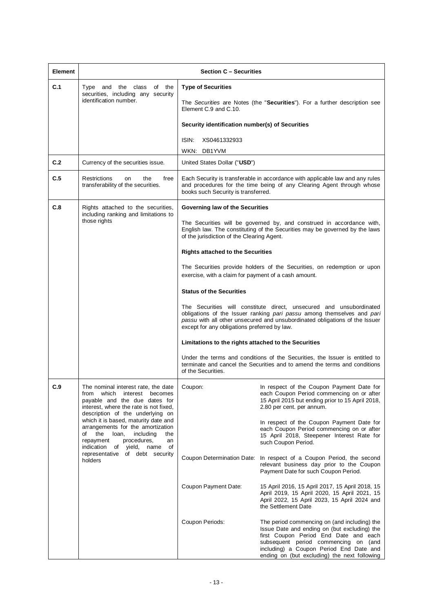| <b>Element</b> |                                                                                                                                                                                                                                                                                                                                                                                                                          | <b>Section C - Securities</b>                                                                                                                                                                                                                                                                                                                      |                                                                                                                                                                                                                                                                                                                                                                                                                                                                                                                                                                                                                                                                                                                                                                                                                                                                                                                                                           |
|----------------|--------------------------------------------------------------------------------------------------------------------------------------------------------------------------------------------------------------------------------------------------------------------------------------------------------------------------------------------------------------------------------------------------------------------------|----------------------------------------------------------------------------------------------------------------------------------------------------------------------------------------------------------------------------------------------------------------------------------------------------------------------------------------------------|-----------------------------------------------------------------------------------------------------------------------------------------------------------------------------------------------------------------------------------------------------------------------------------------------------------------------------------------------------------------------------------------------------------------------------------------------------------------------------------------------------------------------------------------------------------------------------------------------------------------------------------------------------------------------------------------------------------------------------------------------------------------------------------------------------------------------------------------------------------------------------------------------------------------------------------------------------------|
| C.1            | Type and the class of the<br>securities, including any security<br>identification number.                                                                                                                                                                                                                                                                                                                                | <b>Type of Securities</b><br>Element C.9 and C.10.<br>Security identification number(s) of Securities<br>XS0461332933<br>ISIN:<br>WKN: DB1YVM                                                                                                                                                                                                      | The Securities are Notes (the "Securities"). For a further description see                                                                                                                                                                                                                                                                                                                                                                                                                                                                                                                                                                                                                                                                                                                                                                                                                                                                                |
| C.2            | Currency of the securities issue.                                                                                                                                                                                                                                                                                                                                                                                        | United States Dollar ("USD")                                                                                                                                                                                                                                                                                                                       |                                                                                                                                                                                                                                                                                                                                                                                                                                                                                                                                                                                                                                                                                                                                                                                                                                                                                                                                                           |
| C.5            | <b>Restrictions</b><br>the<br>free<br><b>on</b><br>transferability of the securities.                                                                                                                                                                                                                                                                                                                                    | books such Security is transferred.                                                                                                                                                                                                                                                                                                                | Each Security is transferable in accordance with applicable law and any rules<br>and procedures for the time being of any Clearing Agent through whose                                                                                                                                                                                                                                                                                                                                                                                                                                                                                                                                                                                                                                                                                                                                                                                                    |
| C.8            | Rights attached to the securities,<br>including ranking and limitations to<br>those rights                                                                                                                                                                                                                                                                                                                               | Governing law of the Securities<br>of the jurisdiction of the Clearing Agent.<br><b>Rights attached to the Securities</b><br>exercise, with a claim for payment of a cash amount.<br><b>Status of the Securities</b><br>except for any obligations preferred by law.<br>Limitations to the rights attached to the Securities<br>of the Securities. | The Securities will be governed by, and construed in accordance with,<br>English law. The constituting of the Securities may be governed by the laws<br>The Securities provide holders of the Securities, on redemption or upon<br>The Securities will constitute direct, unsecured and unsubordinated<br>obligations of the Issuer ranking pari passu among themselves and pari<br>passu with all other unsecured and unsubordinated obligations of the Issuer<br>Under the terms and conditions of the Securities, the Issuer is entitled to<br>terminate and cancel the Securities and to amend the terms and conditions                                                                                                                                                                                                                                                                                                                               |
| C.9            | The nominal interest rate, the date<br>from which interest becomes<br>payable and the due dates for<br>interest, where the rate is not fixed,<br>description of the underlying on<br>which it is based, maturity date and<br>arrangements for the amortization<br>of the<br>loan,<br>including<br>the<br>repayment<br>procedures,<br>an<br>indication<br>of yield, name of<br>representative of debt security<br>holders | Coupon:<br>Coupon Payment Date:<br>Coupon Periods:                                                                                                                                                                                                                                                                                                 | In respect of the Coupon Payment Date for<br>each Coupon Period commencing on or after<br>15 April 2015 but ending prior to 15 April 2018,<br>2.80 per cent. per annum.<br>In respect of the Coupon Payment Date for<br>each Coupon Period commencing on or after<br>15 April 2018, Steepener Interest Rate for<br>such Coupon Period.<br>Coupon Determination Date: In respect of a Coupon Period, the second<br>relevant business day prior to the Coupon<br>Payment Date for such Coupon Period.<br>15 April 2016, 15 April 2017, 15 April 2018, 15<br>April 2019, 15 April 2020, 15 April 2021, 15<br>April 2022, 15 April 2023, 15 April 2024 and<br>the Settlement Date<br>The period commencing on (and including) the<br>Issue Date and ending on (but excluding) the<br>first Coupon Period End Date and each<br>subsequent period commencing on (and<br>including) a Coupon Period End Date and<br>ending on (but excluding) the next following |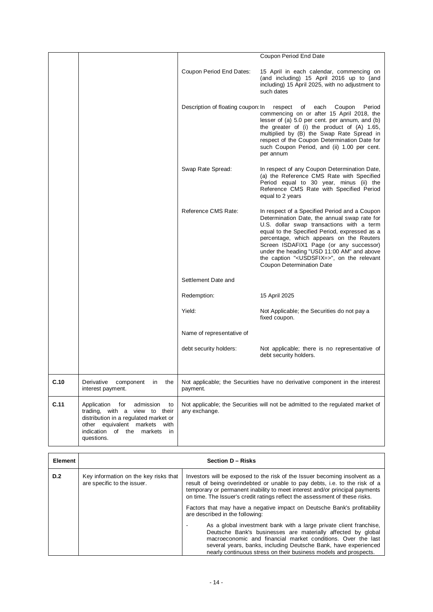|      |                                                                                                                                                                                                       |                                    | Coupon Period End Date                                                                                                                                                                                                                                                                                                                                                                                                         |
|------|-------------------------------------------------------------------------------------------------------------------------------------------------------------------------------------------------------|------------------------------------|--------------------------------------------------------------------------------------------------------------------------------------------------------------------------------------------------------------------------------------------------------------------------------------------------------------------------------------------------------------------------------------------------------------------------------|
|      |                                                                                                                                                                                                       | Coupon Period End Dates:           | 15 April in each calendar, commencing on<br>(and including) 15 April 2016 up to (and<br>including) 15 April 2025, with no adjustment to<br>such dates                                                                                                                                                                                                                                                                          |
|      |                                                                                                                                                                                                       | Description of floating coupon: In | of each<br>Coupon<br>Period<br>respect<br>commencing on or after 15 April 2018, the<br>lesser of (a) 5.0 per cent. per annum, and (b)<br>the greater of (i) the product of (A) 1.65,<br>multiplied by (B) the Swap Rate Spread in<br>respect of the Coupon Determination Date for<br>such Coupon Period, and (ii) 1.00 per cent.<br>per annum                                                                                  |
|      |                                                                                                                                                                                                       | Swap Rate Spread:                  | In respect of any Coupon Determination Date,<br>(a) the Reference CMS Rate with Specified<br>Period equal to 30 year, minus (ii) the<br>Reference CMS Rate with Specified Period<br>equal to 2 years                                                                                                                                                                                                                           |
|      |                                                                                                                                                                                                       | Reference CMS Rate:                | In respect of a Specified Period and a Coupon<br>Determination Date, the annual swap rate for<br>U.S. dollar swap transactions with a term<br>equal to the Specified Period, expressed as a<br>percentage, which appears on the Reuters<br>Screen ISDAFIX1 Page (or any successor)<br>under the heading "USD 11:00 AM" and above<br>the caption " <usdsfix=>", on the relevant<br/><b>Coupon Determination Date</b></usdsfix=> |
|      |                                                                                                                                                                                                       | Settlement Date and                |                                                                                                                                                                                                                                                                                                                                                                                                                                |
|      |                                                                                                                                                                                                       | Redemption:                        | 15 April 2025                                                                                                                                                                                                                                                                                                                                                                                                                  |
|      |                                                                                                                                                                                                       | Yield:                             | Not Applicable; the Securities do not pay a<br>fixed coupon.                                                                                                                                                                                                                                                                                                                                                                   |
|      |                                                                                                                                                                                                       | Name of representative of          |                                                                                                                                                                                                                                                                                                                                                                                                                                |
|      |                                                                                                                                                                                                       | debt security holders:             | Not applicable; there is no representative of<br>debt security holders.                                                                                                                                                                                                                                                                                                                                                        |
| C.10 |                                                                                                                                                                                                       |                                    |                                                                                                                                                                                                                                                                                                                                                                                                                                |
|      | Derivative<br>component<br>the<br>in<br>interest payment.                                                                                                                                             | payment.                           | Not applicable; the Securities have no derivative component in the interest                                                                                                                                                                                                                                                                                                                                                    |
| C.11 | Application<br>for<br>admission<br>to<br>trading, with a view to their<br>distribution in a regulated market or<br>other equivalent markets with<br>indication of the<br>markets<br>in.<br>questions. | any exchange.                      | Not applicable; the Securities will not be admitted to the regulated market of                                                                                                                                                                                                                                                                                                                                                 |

| <b>Element</b> |                                                                      | Section D - Risks                                                                                                                                                                                                                                                                                                                         |
|----------------|----------------------------------------------------------------------|-------------------------------------------------------------------------------------------------------------------------------------------------------------------------------------------------------------------------------------------------------------------------------------------------------------------------------------------|
| D.2            | Key information on the key risks that<br>are specific to the issuer. | Investors will be exposed to the risk of the Issuer becoming insolvent as a<br>result of being overindebted or unable to pay debts, i.e. to the risk of a<br>temporary or permanent inability to meet interest and/or principal payments<br>on time. The Issuer's credit ratings reflect the assessment of these risks.                   |
|                |                                                                      | Factors that may have a negative impact on Deutsche Bank's profitability<br>are described in the following:                                                                                                                                                                                                                               |
|                |                                                                      | As a global investment bank with a large private client franchise,<br>Deutsche Bank's businesses are materially affected by global<br>macroeconomic and financial market conditions. Over the last<br>several years, banks, including Deutsche Bank, have experienced<br>nearly continuous stress on their business models and prospects. |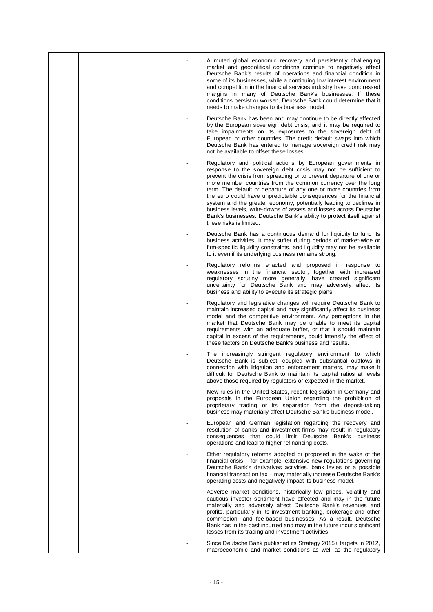|  |                          | A muted global economic recovery and persistently challenging<br>market and geopolitical conditions continue to negatively affect<br>Deutsche Bank's results of operations and financial condition in<br>some of its businesses, while a continuing low interest environment<br>and competition in the financial services industry have compressed<br>margins in many of Deutsche Bank's businesses. If these<br>conditions persist or worsen, Deutsche Bank could determine that it<br>needs to make changes to its business model.                                                                                                                       |
|--|--------------------------|------------------------------------------------------------------------------------------------------------------------------------------------------------------------------------------------------------------------------------------------------------------------------------------------------------------------------------------------------------------------------------------------------------------------------------------------------------------------------------------------------------------------------------------------------------------------------------------------------------------------------------------------------------|
|  |                          | Deutsche Bank has been and may continue to be directly affected<br>by the European sovereign debt crisis, and it may be required to<br>take impairments on its exposures to the sovereign debt of<br>European or other countries. The credit default swaps into which<br>Deutsche Bank has entered to manage sovereign credit risk may<br>not be available to offset these losses.                                                                                                                                                                                                                                                                         |
|  |                          | Regulatory and political actions by European governments in<br>response to the sovereign debt crisis may not be sufficient to<br>prevent the crisis from spreading or to prevent departure of one or<br>more member countries from the common currency over the long<br>term. The default or departure of any one or more countries from<br>the euro could have unpredictable consequences for the financial<br>system and the greater economy, potentially leading to declines in<br>business levels, write-downs of assets and losses across Deutsche<br>Bank's businesses. Deutsche Bank's ability to protect itself against<br>these risks is limited. |
|  |                          | Deutsche Bank has a continuous demand for liquidity to fund its<br>business activities. It may suffer during periods of market-wide or<br>firm-specific liquidity constraints, and liquidity may not be available<br>to it even if its underlying business remains strong.                                                                                                                                                                                                                                                                                                                                                                                 |
|  |                          | Regulatory reforms enacted and proposed in response to<br>weaknesses in the financial sector, together with increased<br>regulatory scrutiny more generally, have created significant<br>uncertainty for Deutsche Bank and may adversely affect its<br>business and ability to execute its strategic plans.                                                                                                                                                                                                                                                                                                                                                |
|  | $\blacksquare$           | Regulatory and legislative changes will require Deutsche Bank to<br>maintain increased capital and may significantly affect its business<br>model and the competitive environment. Any perceptions in the<br>market that Deutsche Bank may be unable to meet its capital<br>requirements with an adequate buffer, or that it should maintain<br>capital in excess of the requirements, could intensify the effect of<br>these factors on Deutsche Bank's business and results.                                                                                                                                                                             |
|  | $\overline{\phantom{a}}$ | The increasingly stringent regulatory environment to which<br>Deutsche Bank is subject, coupled with substantial outflows in<br>connection with litigation and enforcement matters, may make it<br>difficult for Deutsche Bank to maintain its capital ratios at levels<br>above those required by regulators or expected in the market.                                                                                                                                                                                                                                                                                                                   |
|  |                          | New rules in the United States, recent legislation in Germany and<br>proposals in the European Union regarding the prohibition of<br>proprietary trading or its separation from the deposit-taking<br>business may materially affect Deutsche Bank's business model.                                                                                                                                                                                                                                                                                                                                                                                       |
|  |                          | European and German legislation regarding the recovery and<br>resolution of banks and investment firms may result in regulatory<br>consequences that could limit Deutsche Bank's business<br>operations and lead to higher refinancing costs.                                                                                                                                                                                                                                                                                                                                                                                                              |
|  |                          | Other regulatory reforms adopted or proposed in the wake of the<br>financial crisis – for example, extensive new regulations governing<br>Deutsche Bank's derivatives activities, bank levies or a possible<br>financial transaction tax - may materially increase Deutsche Bank's<br>operating costs and negatively impact its business model.                                                                                                                                                                                                                                                                                                            |
|  |                          | Adverse market conditions, historically low prices, volatility and<br>cautious investor sentiment have affected and may in the future<br>materially and adversely affect Deutsche Bank's revenues and<br>profits, particularly in its investment banking, brokerage and other<br>commission- and fee-based businesses. As a result, Deutsche<br>Bank has in the past incurred and may in the future incur significant<br>losses from its trading and investment activities.                                                                                                                                                                                |
|  |                          | Since Deutsche Bank published its Strategy 2015+ targets in 2012,<br>macroeconomic and market conditions as well as the regulatory                                                                                                                                                                                                                                                                                                                                                                                                                                                                                                                         |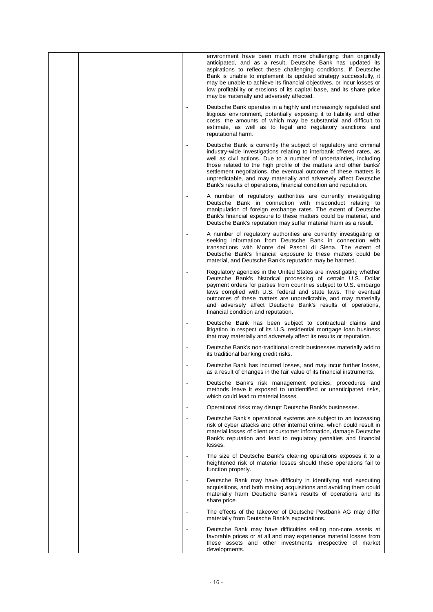|  | environment have been much more challenging than originally<br>anticipated, and as a result, Deutsche Bank has updated its<br>aspirations to reflect these challenging conditions. If Deutsche<br>Bank is unable to implement its updated strategy successfully, it<br>may be unable to achieve its financial objectives, or incur losses or<br>low profitability or erosions of its capital base, and its share price<br>may be materially and adversely affected.                               |
|--|---------------------------------------------------------------------------------------------------------------------------------------------------------------------------------------------------------------------------------------------------------------------------------------------------------------------------------------------------------------------------------------------------------------------------------------------------------------------------------------------------|
|  | Deutsche Bank operates in a highly and increasingly regulated and<br>litigious environment, potentially exposing it to liability and other<br>costs, the amounts of which may be substantial and difficult to<br>estimate, as well as to legal and regulatory sanctions and<br>reputational harm.                                                                                                                                                                                                 |
|  | Deutsche Bank is currently the subject of regulatory and criminal<br>industry-wide investigations relating to interbank offered rates, as<br>well as civil actions. Due to a number of uncertainties, including<br>those related to the high profile of the matters and other banks'<br>settlement negotiations, the eventual outcome of these matters is<br>unpredictable, and may materially and adversely affect Deutsche<br>Bank's results of operations, financial condition and reputation. |
|  | A number of regulatory authorities are currently investigating<br>Deutsche Bank in connection with misconduct relating to<br>manipulation of foreign exchange rates. The extent of Deutsche<br>Bank's financial exposure to these matters could be material, and<br>Deutsche Bank's reputation may suffer material harm as a result.                                                                                                                                                              |
|  | A number of regulatory authorities are currently investigating or<br>seeking information from Deutsche Bank in connection with<br>transactions with Monte dei Paschi di Siena. The extent of<br>Deutsche Bank's financial exposure to these matters could be<br>material, and Deutsche Bank's reputation may be harmed.                                                                                                                                                                           |
|  | Regulatory agencies in the United States are investigating whether<br>Deutsche Bank's historical processing of certain U.S. Dollar<br>payment orders for parties from countries subject to U.S. embargo<br>laws complied with U.S. federal and state laws. The eventual<br>outcomes of these matters are unpredictable, and may materially<br>and adversely affect Deutsche Bank's results of operations,<br>financial condition and reputation.                                                  |
|  | Deutsche Bank has been subject to contractual claims and<br>litigation in respect of its U.S. residential mortgage loan business<br>that may materially and adversely affect its results or reputation.                                                                                                                                                                                                                                                                                           |
|  | Deutsche Bank's non-traditional credit businesses materially add to<br>its traditional banking credit risks.                                                                                                                                                                                                                                                                                                                                                                                      |
|  | Deutsche Bank has incurred losses, and may incur further losses,<br>as a result of changes in the fair value of its financial instruments.                                                                                                                                                                                                                                                                                                                                                        |
|  | Deutsche Bank's risk management policies, procedures and<br>methods leave it exposed to unidentified or unanticipated risks,<br>which could lead to material losses.                                                                                                                                                                                                                                                                                                                              |
|  | Operational risks may disrupt Deutsche Bank's businesses.                                                                                                                                                                                                                                                                                                                                                                                                                                         |
|  | Deutsche Bank's operational systems are subject to an increasing<br>risk of cyber attacks and other internet crime, which could result in<br>material losses of client or customer information, damage Deutsche<br>Bank's reputation and lead to regulatory penalties and financial<br>losses.                                                                                                                                                                                                    |
|  | The size of Deutsche Bank's clearing operations exposes it to a<br>heightened risk of material losses should these operations fail to<br>function properly.                                                                                                                                                                                                                                                                                                                                       |
|  | Deutsche Bank may have difficulty in identifying and executing<br>acquisitions, and both making acquisitions and avoiding them could<br>materially harm Deutsche Bank's results of operations and its<br>share price.                                                                                                                                                                                                                                                                             |
|  | The effects of the takeover of Deutsche Postbank AG may differ<br>materially from Deutsche Bank's expectations.                                                                                                                                                                                                                                                                                                                                                                                   |
|  | Deutsche Bank may have difficulties selling non-core assets at<br>favorable prices or at all and may experience material losses from<br>these assets and other investments irrespective of market<br>developments.                                                                                                                                                                                                                                                                                |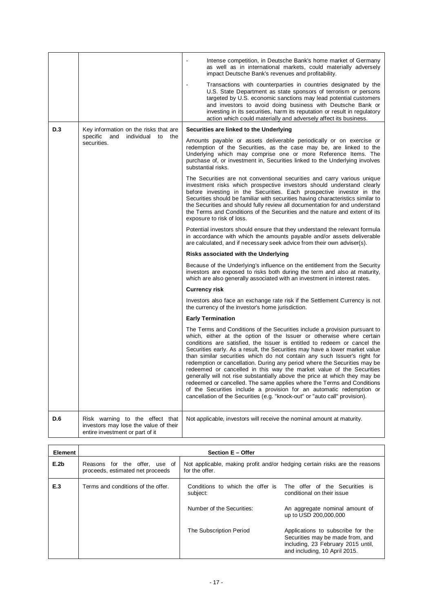|     |                                                                                                             | Intense competition, in Deutsche Bank's home market of Germany<br>as well as in international markets, could materially adversely<br>impact Deutsche Bank's revenues and profitability.<br>Transactions with counterparties in countries designated by the<br>U.S. State Department as state sponsors of terrorism or persons<br>targeted by U.S. economic sanctions may lead potential customers<br>and investors to avoid doing business with Deutsche Bank or<br>investing in its securities, harm its reputation or result in regulatory<br>action which could materially and adversely affect its business.                                                                                                                                                                                                                                              |
|-----|-------------------------------------------------------------------------------------------------------------|---------------------------------------------------------------------------------------------------------------------------------------------------------------------------------------------------------------------------------------------------------------------------------------------------------------------------------------------------------------------------------------------------------------------------------------------------------------------------------------------------------------------------------------------------------------------------------------------------------------------------------------------------------------------------------------------------------------------------------------------------------------------------------------------------------------------------------------------------------------|
| D.3 | Key information on the risks that are<br>specific and individual to the                                     | Securities are linked to the Underlying                                                                                                                                                                                                                                                                                                                                                                                                                                                                                                                                                                                                                                                                                                                                                                                                                       |
|     | securities.                                                                                                 | Amounts payable or assets deliverable periodically or on exercise or<br>redemption of the Securities, as the case may be, are linked to the<br>Underlying which may comprise one or more Reference Items. The<br>purchase of, or investment in, Securities linked to the Underlying involves<br>substantial risks.                                                                                                                                                                                                                                                                                                                                                                                                                                                                                                                                            |
|     |                                                                                                             | The Securities are not conventional securities and carry various unique<br>investment risks which prospective investors should understand clearly<br>before investing in the Securities. Each prospective investor in the<br>Securities should be familiar with securities having characteristics similar to<br>the Securities and should fully review all documentation for and understand<br>the Terms and Conditions of the Securities and the nature and extent of its<br>exposure to risk of loss.                                                                                                                                                                                                                                                                                                                                                       |
|     |                                                                                                             | Potential investors should ensure that they understand the relevant formula<br>in accordance with which the amounts payable and/or assets deliverable<br>are calculated, and if necessary seek advice from their own adviser(s).                                                                                                                                                                                                                                                                                                                                                                                                                                                                                                                                                                                                                              |
|     |                                                                                                             | Risks associated with the Underlying                                                                                                                                                                                                                                                                                                                                                                                                                                                                                                                                                                                                                                                                                                                                                                                                                          |
|     |                                                                                                             | Because of the Underlying's influence on the entitlement from the Security<br>investors are exposed to risks both during the term and also at maturity,<br>which are also generally associated with an investment in interest rates.                                                                                                                                                                                                                                                                                                                                                                                                                                                                                                                                                                                                                          |
|     |                                                                                                             | <b>Currency risk</b>                                                                                                                                                                                                                                                                                                                                                                                                                                                                                                                                                                                                                                                                                                                                                                                                                                          |
|     |                                                                                                             | Investors also face an exchange rate risk if the Settlement Currency is not<br>the currency of the investor's home jurisdiction.                                                                                                                                                                                                                                                                                                                                                                                                                                                                                                                                                                                                                                                                                                                              |
|     |                                                                                                             | <b>Early Termination</b>                                                                                                                                                                                                                                                                                                                                                                                                                                                                                                                                                                                                                                                                                                                                                                                                                                      |
|     |                                                                                                             | The Terms and Conditions of the Securities include a provision pursuant to<br>which, either at the option of the Issuer or otherwise where certain<br>conditions are satisfied, the Issuer is entitled to redeem or cancel the<br>Securities early. As a result, the Securities may have a lower market value<br>than similar securities which do not contain any such Issuer's right for<br>redemption or cancellation. During any period where the Securities may be<br>redeemed or cancelled in this way the market value of the Securities<br>generally will not rise substantially above the price at which they may be<br>redeemed or cancelled. The same applies where the Terms and Conditions<br>of the Securities include a provision for an automatic redemption or<br>cancellation of the Securities (e.g. "knock-out" or "auto call" provision). |
| D.6 | Risk warning to the effect that<br>investors may lose the value of their<br>entire investment or part of it | Not applicable, investors will receive the nominal amount at maturity.                                                                                                                                                                                                                                                                                                                                                                                                                                                                                                                                                                                                                                                                                                                                                                                        |

| Element | <b>Section E - Offer</b>                                          |                                       |                                                                                                                                                          |  |
|---------|-------------------------------------------------------------------|---------------------------------------|----------------------------------------------------------------------------------------------------------------------------------------------------------|--|
| E.2b    | Reasons for the offer, use of<br>proceeds, estimated net proceeds | for the offer.                        | Not applicable, making profit and/or hedging certain risks are the reasons                                                                               |  |
| E.3     | Terms and conditions of the offer.                                | subject:<br>Number of the Securities: | Conditions to which the offer is The offer of the Securities is<br>conditional on their issue<br>An aggregate nominal amount of<br>up to USD 200,000,000 |  |
|         |                                                                   | The Subscription Period               | Applications to subscribe for the<br>Securities may be made from, and<br>including, 23 February 2015 until,<br>and including, 10 April 2015.             |  |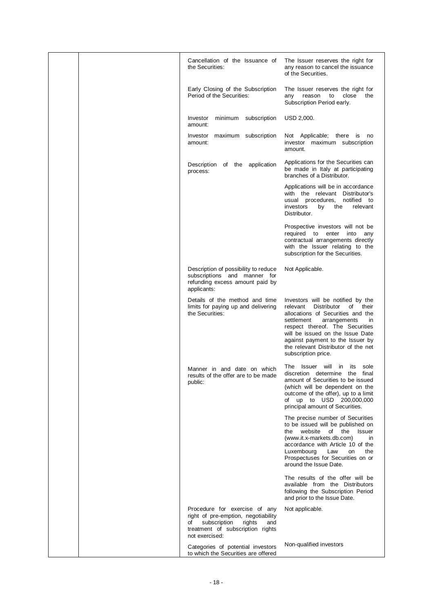| Cancellation of the Issuance of<br>the Securities:                                                                                                                | The Issuer reserves the right for<br>any reason to cancel the issuance<br>of the Securities.                                                                                                                                                                                                                                          |
|-------------------------------------------------------------------------------------------------------------------------------------------------------------------|---------------------------------------------------------------------------------------------------------------------------------------------------------------------------------------------------------------------------------------------------------------------------------------------------------------------------------------|
| Early Closing of the Subscription<br>Period of the Securities:                                                                                                    | The Issuer reserves the right for<br>reason<br>to<br>close<br>the<br>any<br>Subscription Period early.                                                                                                                                                                                                                                |
| Investor<br>minimum subscription<br>amount:                                                                                                                       | USD 2,000.                                                                                                                                                                                                                                                                                                                            |
| Investor maximum subscription<br>amount:                                                                                                                          | Not Applicable; there is no<br>investor maximum subscription<br>amount.                                                                                                                                                                                                                                                               |
| Description of the application<br>process:                                                                                                                        | Applications for the Securities can<br>be made in Italy at participating<br>branches of a Distributor.                                                                                                                                                                                                                                |
|                                                                                                                                                                   | Applications will be in accordance<br>with the relevant Distributor's<br>notified to<br>usual procedures,<br>investors<br>by<br>the<br>relevant<br>Distributor.                                                                                                                                                                       |
|                                                                                                                                                                   | Prospective investors will not be<br>required to enter<br>into<br>any<br>contractual arrangements directly<br>with the Issuer relating to the<br>subscription for the Securities.                                                                                                                                                     |
| Description of possibility to reduce<br>subscriptions and manner for<br>refunding excess amount paid by<br>applicants:                                            | Not Applicable.                                                                                                                                                                                                                                                                                                                       |
| Details of the method and time<br>limits for paying up and delivering<br>the Securities:                                                                          | Investors will be notified by the<br><b>Distributor</b><br>relevant<br>of<br>their<br>allocations of Securities and the<br>settlement<br>arrangements<br>in.<br>respect thereof. The Securities<br>will be issued on the Issue Date<br>against payment to the Issuer by<br>the relevant Distributor of the net<br>subscription price. |
| Manner in and date on which<br>results of the offer are to be made<br>public:                                                                                     | The<br>Issuer will<br>sole<br><i>in</i><br>its<br>discretion determine the final<br>amount of Securities to be issued<br>(which will be dependent on the<br>outcome of the offer), up to a limit<br>of up to USD 200,000,000<br>principal amount of Securities.                                                                       |
|                                                                                                                                                                   | The precise number of Securities<br>to be issued will be published on<br>website<br>the<br>the<br>of<br><b>Issuer</b><br>(www.it.x-markets.db.com)<br>in.<br>accordance with Article 10 of the<br>Luxembourg<br>Law<br>the<br><b>on</b><br>Prospectuses for Securities on or<br>around the Issue Date.                                |
|                                                                                                                                                                   | The results of the offer will be<br>available from the Distributors<br>following the Subscription Period<br>and prior to the Issue Date.                                                                                                                                                                                              |
| Procedure for exercise of any<br>right of pre-emption, negotiability<br>subscription<br>of<br>rights<br>and<br>treatment of subscription rights<br>not exercised: | Not applicable.                                                                                                                                                                                                                                                                                                                       |
| Categories of potential investors<br>to which the Securities are offered                                                                                          | Non-qualified investors                                                                                                                                                                                                                                                                                                               |